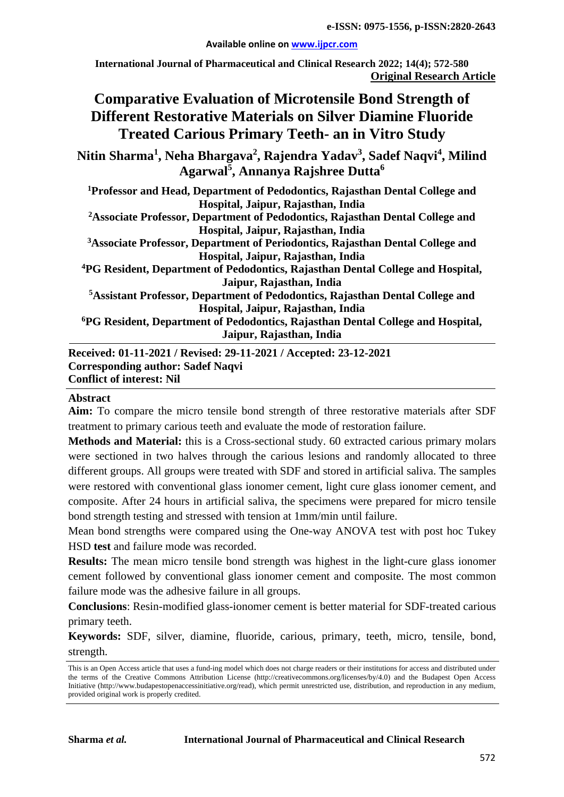**e-ISSN: 0975-1556, p-ISSN:2820-2643**

#### **Available online on [www.ijpcr.com](http://www.ijpcr.com/)**

**International Journal of Pharmaceutical and Clinical Research 2022; 14(4); 572-580 Original Research Article**

# **Comparative Evaluation of Microtensile Bond Strength of Different Restorative Materials on Silver Diamine Fluoride Treated Carious Primary Teeth- an in Vitro Study**

**Nitin Sharma<sup>1</sup> , Neha Bhargava2 , Rajendra Yadav<sup>3</sup> , Sadef Naqvi4 , Milind Agarwal<sup>5</sup> , Annanya Rajshree Dutta6**

**1 Professor and Head, Department of Pedodontics, Rajasthan Dental College and Hospital, Jaipur, Rajasthan, India**

**2 Associate Professor, Department of Pedodontics, Rajasthan Dental College and Hospital, Jaipur, Rajasthan, India**

**3 Associate Professor, Department of Periodontics, Rajasthan Dental College and Hospital, Jaipur, Rajasthan, India** 

**4 PG Resident, Department of Pedodontics, Rajasthan Dental College and Hospital, Jaipur, Rajasthan, India**

**5Assistant Professor, Department of Pedodontics, Rajasthan Dental College and Hospital, Jaipur, Rajasthan, India** 

**6PG Resident, Department of Pedodontics, Rajasthan Dental College and Hospital, Jaipur, Rajasthan, India**

**Received: 01-11-2021 / Revised: 29-11-2021 / Accepted: 23-12-2021 Corresponding author: Sadef Naqvi Conflict of interest: Nil**

#### **Abstract**

**Aim:** To compare the micro tensile bond strength of three restorative materials after SDF treatment to primary carious teeth and evaluate the mode of restoration failure.

**Methods and Material:** this is a Cross-sectional study. 60 extracted carious primary molars were sectioned in two halves through the carious lesions and randomly allocated to three different groups. All groups were treated with SDF and stored in artificial saliva. The samples were restored with conventional glass ionomer cement, light cure glass ionomer cement, and composite. After 24 hours in artificial saliva, the specimens were prepared for micro tensile bond strength testing and stressed with tension at 1mm/min until failure.

Mean bond strengths were compared using the One-way ANOVA test with post hoc Tukey HSD **test** and failure mode was recorded.

**Results:** The mean micro tensile bond strength was highest in the light-cure glass ionomer cement followed by conventional glass ionomer cement and composite. The most common failure mode was the adhesive failure in all groups.

**Conclusions**: Resin-modified glass-ionomer cement is better material for SDF-treated carious primary teeth.

**Keywords:** SDF, silver, diamine, fluoride, carious, primary, teeth, micro, tensile, bond, strength.

This is an Open Access article that uses a fund-ing model which does not charge readers or their institutions for access and distributed under the terms of the Creative Commons Attribution License (http://creativecommons.org/licenses/by/4.0) and the Budapest Open Access Initiative (http://www.budapestopenaccessinitiative.org/read), which permit unrestricted use, distribution, and reproduction in any medium, provided original work is properly credited.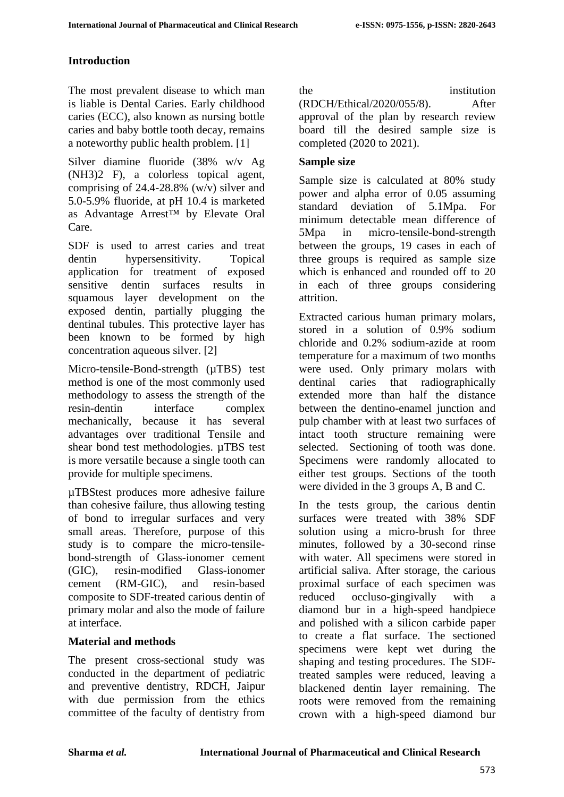### **Introduction**

The most prevalent disease to which man is liable is Dental Caries. Early childhood caries (ECC), also known as nursing bottle caries and baby bottle tooth decay, remains a noteworthy public health problem. [1]

Silver diamine fluoride (38% w/v Ag (NH3)2 F), a colorless topical agent, comprising of 24.4-28.8% (w/v) silver and 5.0-5.9% fluoride, at pH 10.4 is marketed as Advantage Arrest™ by Elevate Oral Care.

SDF is used to arrest caries and treat dentin hypersensitivity. Topical application for treatment of exposed sensitive dentin surfaces results in squamous layer development on the exposed dentin, partially plugging the dentinal tubules. This protective layer has been known to be formed by high concentration aqueous silver. [2]

Micro-tensile-Bond-strength ( $\mu$ TBS) test method is one of the most commonly used methodology to assess the strength of the resin-dentin interface complex mechanically, because it has several advantages over traditional Tensile and shear bond test methodologies. µTBS test is more versatile because a single tooth can provide for multiple specimens.

µTBStest produces more adhesive failure than cohesive failure, thus allowing testing of bond to irregular surfaces and very small areas. Therefore, purpose of this study is to compare the micro-tensilebond-strength of Glass-ionomer cement (GIC), resin-modified Glass-ionomer cement (RM-GIC), and resin-based composite to SDF-treated carious dentin of primary molar and also the mode of failure at interface.

#### **Material and methods**

The present cross-sectional study was conducted in the department of pediatric and preventive dentistry, RDCH, Jaipur with due permission from the ethics committee of the faculty of dentistry from

the institution

(RDCH/Ethical/2020/055/8). After approval of the plan by research review board till the desired sample size is completed (2020 to 2021).

#### **Sample size**

Sample size is calculated at 80% study power and alpha error of 0.05 assuming standard deviation of 5.1Mpa. For minimum detectable mean difference of 5Mpa in micro-tensile-bond-strength between the groups, 19 cases in each of three groups is required as sample size which is enhanced and rounded off to 20 in each of three groups considering attrition.

Extracted carious human primary molars, stored in a solution of 0.9% sodium chloride and 0.2% sodium-azide at room temperature for a maximum of two months were used. Only primary molars with dentinal caries that radiographically extended more than half the distance between the dentino-enamel junction and pulp chamber with at least two surfaces of intact tooth structure remaining were selected. Sectioning of tooth was done. Specimens were randomly allocated to either test groups. Sections of the tooth were divided in the 3 groups A, B and C.

In the tests group, the carious dentin surfaces were treated with 38% SDF solution using a micro-brush for three minutes, followed by a 30-second rinse with water. All specimens were stored in artificial saliva. After storage, the carious proximal surface of each specimen was reduced occluso-gingivally with a diamond bur in a high-speed handpiece and polished with a silicon carbide paper to create a flat surface. The sectioned specimens were kept wet during the shaping and testing procedures. The SDFtreated samples were reduced, leaving a blackened dentin layer remaining. The roots were removed from the remaining crown with a high-speed diamond bur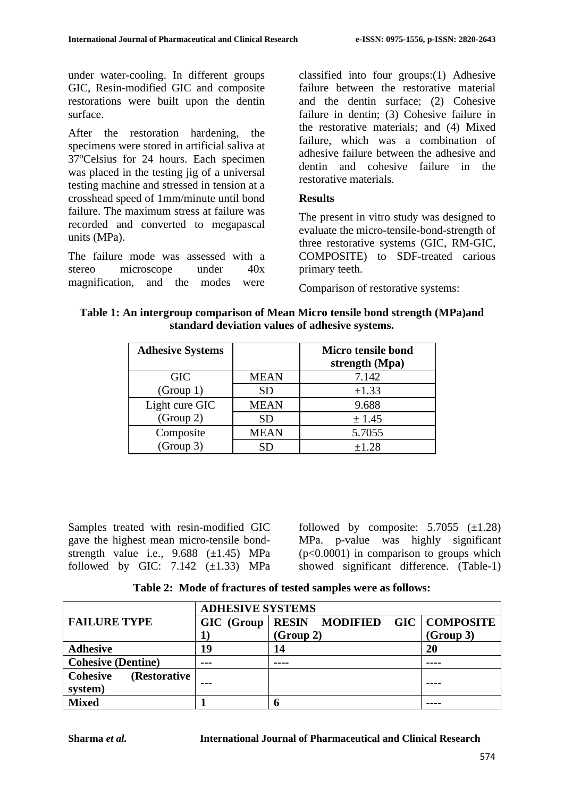under water-cooling. In different groups GIC, Resin-modified GIC and composite restorations were built upon the dentin surface.

After the restoration hardening, the specimens were stored in artificial saliva at 37°Celsius for 24 hours. Each specimen was placed in the testing jig of a universal testing machine and stressed in tension at a crosshead speed of 1mm/minute until bond failure. The maximum stress at failure was recorded and converted to megapascal units (MPa).

The failure mode was assessed with a stereo microscope under 40x magnification, and the modes were

classified into four groups:(1) Adhesive failure between the restorative material and the dentin surface; (2) Cohesive failure in dentin; (3) Cohesive failure in the restorative materials; and (4) Mixed failure, which was a combination of adhesive failure between the adhesive and dentin and cohesive failure in the restorative materials.

#### **Results**

The present in vitro study was designed to evaluate the micro-tensile-bond-strength of three restorative systems (GIC, RM-GIC, COMPOSITE) to SDF-treated carious primary teeth.

Comparison of restorative systems:

**Table 1: An intergroup comparison of Mean Micro tensile bond strength (MPa)and standard deviation values of adhesive systems.**

| <b>Adhesive Systems</b> |             | Micro tensile bond<br>strength (Mpa) |
|-------------------------|-------------|--------------------------------------|
| <b>GIC</b>              | <b>MEAN</b> | 7.142                                |
| (Group 1)               | <b>SD</b>   | $\pm 1.33$                           |
| Light cure GIC          | <b>MEAN</b> | 9.688                                |
| (Group 2)               | <b>SD</b>   | ± 1.45                               |
| Composite               | <b>MEAN</b> | 5.7055                               |
| (Group 3)               | SD          | $\pm 1.28$                           |

Samples treated with resin-modified GIC gave the highest mean micro-tensile bondstrength value i.e.,  $9.688$  ( $\pm$ 1.45) MPa followed by GIC:  $7.142$   $(\pm 1.33)$  MPa followed by composite:  $5.7055$  ( $\pm$ 1.28) MPa. p-value was highly significant  $(p<0.0001)$  in comparison to groups which showed significant difference. (Table-1)

**Table 2: Mode of fractures of tested samples were as follows:**

|                                            | <b>ADHESIVE SYSTEMS</b> |                                             |           |  |
|--------------------------------------------|-------------------------|---------------------------------------------|-----------|--|
| <b>FAILURE TYPE</b>                        |                         | GIC (Group   RESIN MODIFIED GIC   COMPOSITE |           |  |
|                                            |                         | (Group 2)                                   | (Group 3) |  |
| <b>Adhesive</b>                            | 19                      | 14                                          | 20        |  |
| <b>Cohesive (Dentine)</b>                  | $- - -$                 |                                             |           |  |
| <b>Cohesive</b><br>(Restorative<br>system) | ---                     |                                             |           |  |
| <b>Mixed</b>                               |                         | n                                           |           |  |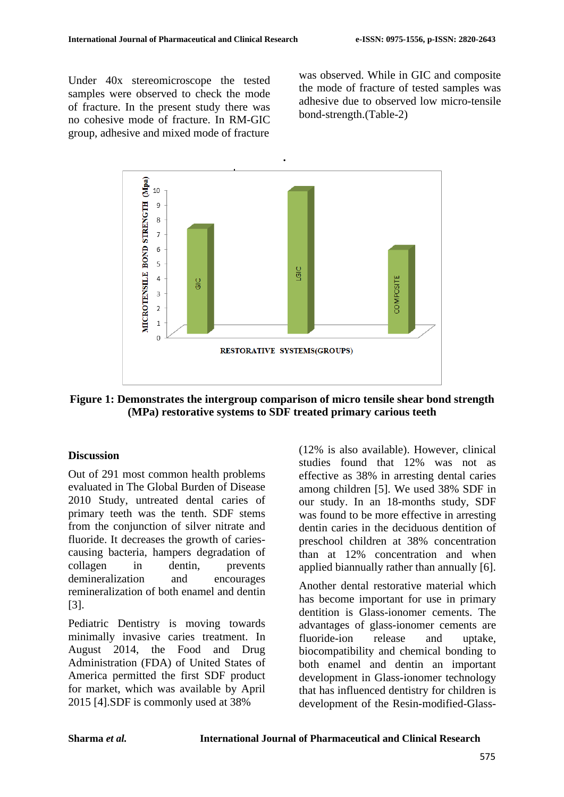Under 40x stereomicroscope the tested samples were observed to check the mode of fracture. In the present study there was no cohesive mode of fracture. In RM-GIC group, adhesive and mixed mode of fracture

was observed. While in GIC and composite the mode of fracture of tested samples was adhesive due to observed low micro-tensile bond-strength.(Table-2)



**Figure 1: Demonstrates the intergroup comparison of micro tensile shear bond strength (MPa) restorative systems to SDF treated primary carious teeth**

#### **Discussion**

Out of 291 most common health problems evaluated in The Global Burden of Disease 2010 Study, untreated dental caries of primary teeth was the tenth. SDF stems from the conjunction of silver nitrate and fluoride. It decreases the growth of cariescausing bacteria, hampers degradation of collagen in dentin, prevents demineralization and encourages remineralization of both enamel and dentin [3].

Pediatric Dentistry is moving towards minimally invasive caries treatment. In August 2014, the Food and Drug Administration (FDA) of United States of America permitted the first SDF product for market, which was available by April 2015 [4].SDF is commonly used at 38%

(12% is also available). However, clinical studies found that 12% was not as effective as 38% in arresting dental caries among children [5]. We used 38% SDF in our study. In an 18-months study, SDF was found to be more effective in arresting dentin caries in the deciduous dentition of preschool children at 38% concentration than at 12% concentration and when applied biannually rather than annually [6].

Another dental restorative material which has become important for use in primary dentition is Glass-ionomer cements. The advantages of glass-ionomer cements are fluoride-ion release and uptake, biocompatibility and chemical bonding to both enamel and dentin an important development in Glass-ionomer technology that has influenced dentistry for children is development of the Resin-modified-Glass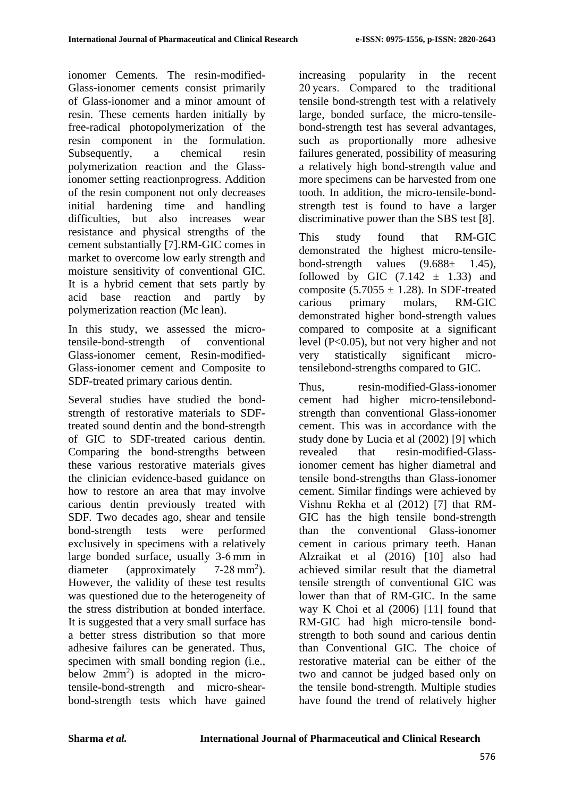ionomer Cements. The resin-modified-Glass-ionomer cements consist primarily of Glass-ionomer and a minor amount of resin. These cements harden initially by free-radical photopolymerization of the resin component in the formulation. Subsequently, a chemical resin polymerization reaction and the Glassionomer setting reactionprogress. Addition of the resin component not only decreases initial hardening time and handling difficulties, but also increases wear resistance and physical strengths of the cement substantially [7].RM-GIC comes in market to overcome low early strength and moisture sensitivity of conventional GIC. It is a hybrid cement that sets partly by acid base reaction and partly by polymerization reaction (Mc lean).

In this study, we assessed the microtensile-bond-strength of conventional Glass-ionomer cement, Resin-modified-Glass-ionomer cement and Composite to SDF-treated primary carious dentin.

Several studies have studied the bondstrength of restorative materials to SDFtreated sound dentin and the bond-strength of GIC to SDF-treated carious dentin. Comparing the bond-strengths between these various restorative materials gives the clinician evidence-based guidance on how to restore an area that may involve carious dentin previously treated with SDF. Two decades ago, shear and tensile bond-strength tests were performed exclusively in specimens with a relatively large bonded surface, usually 3-6 mm in diameter (approximately  $7-28$  mm<sup>2</sup>). However, the validity of these test results was questioned due to the heterogeneity of the stress distribution at bonded interface. It is suggested that a very small surface has a better stress distribution so that more adhesive failures can be generated. Thus, specimen with small bonding region (i.e., below  $2mm^2$ ) is adopted in the microtensile-bond-strength and micro-shearbond-strength tests which have gained

increasing popularity in the recent 20 years. Compared to the traditional tensile bond-strength test with a relatively large, bonded surface, the micro-tensilebond-strength test has several advantages, such as proportionally more adhesive failures generated, possibility of measuring a relatively high bond-strength value and more specimens can be harvested from one tooth. In addition, the micro-tensile-bondstrength test is found to have a larger discriminative power than the SBS test [8].

This study found that RM-GIC demonstrated the highest micro-tensilebond-strength values  $(9.688 \pm 1.45)$ , followed by GIC  $(7.142 \pm 1.33)$  and composite (5.7055  $\pm$  1.28). In SDF-treated carious primary molars, RM-GIC demonstrated higher bond-strength values compared to composite at a significant level (P<0.05), but not very higher and not very statistically significant microtensilebond-strengths compared to GIC.

Thus, resin-modified-Glass-ionomer cement had higher micro-tensilebondstrength than conventional Glass-ionomer cement. This was in accordance with the study done by Lucia et al (2002) [9] which revealed that resin-modified-Glassionomer cement has higher diametral and tensile bond-strengths than Glass-ionomer cement. Similar findings were achieved by Vishnu Rekha et al (2012) [7] that RM-GIC has the high tensile bond-strength than the conventional Glass-ionomer cement in carious primary teeth. Hanan Alzraikat et al (2016) [10] also had achieved similar result that the diametral tensile strength of conventional GIC was lower than that of RM-GIC. In the same way K Choi et al (2006) [11] found that RM-GIC had high micro-tensile bondstrength to both sound and carious dentin than Conventional GIC. The choice of restorative material can be either of the two and cannot be judged based only on the tensile bond-strength. Multiple studies have found the trend of relatively higher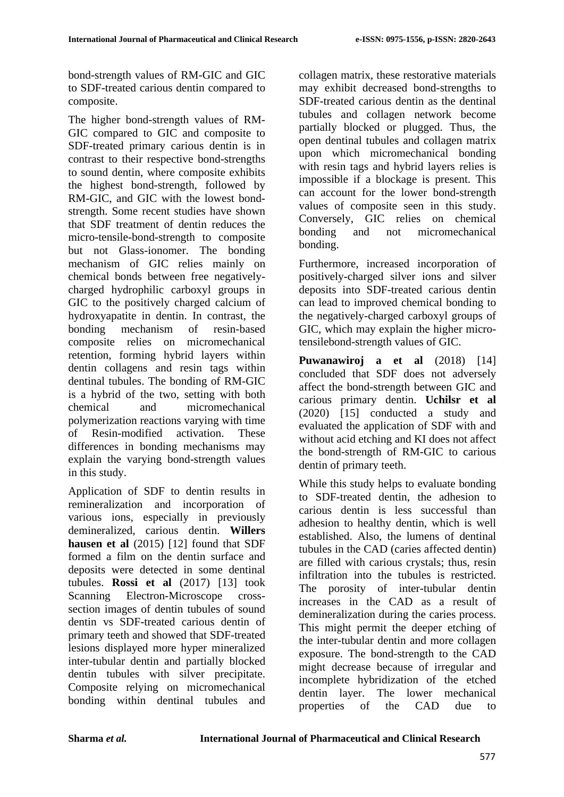bond-strength values of RM-GIC and GIC to SDF-treated carious dentin compared to composite.

The higher bond-strength values of RM-GIC compared to GIC and composite to SDF-treated primary carious dentin is in contrast to their respective bond-strengths to sound dentin, where composite exhibits the highest bond-strength, followed by RM-GIC, and GIC with the lowest bondstrength. Some recent studies have shown that SDF treatment of dentin reduces the micro-tensile-bond-strength to composite but not Glass-ionomer. The bonding mechanism of GIC relies mainly on chemical bonds between free negativelycharged hydrophilic carboxyl groups in GIC to the positively charged calcium of hydroxyapatite in dentin. In contrast, the bonding mechanism of resin-based composite relies on micromechanical retention, forming hybrid layers within dentin collagens and resin tags within dentinal tubules. The bonding of RM-GIC is a hybrid of the two, setting with both chemical and micromechanical polymerization reactions varying with time of Resin-modified activation. These differences in bonding mechanisms may explain the varying bond-strength values in this study.

Application of SDF to dentin results in remineralization and incorporation of various ions, especially in previously demineralized, carious dentin. **Willers hausen et al** (2015) [12] found that SDF formed a film on the dentin surface and deposits were detected in some dentinal tubules. **Rossi et al** (2017) [13] took Scanning Electron-Microscope crosssection images of dentin tubules of sound dentin vs SDF-treated carious dentin of primary teeth and showed that SDF-treated lesions displayed more hyper mineralized inter-tubular dentin and partially blocked dentin tubules with silver precipitate. Composite relying on micromechanical bonding within dentinal tubules and

collagen matrix, these restorative materials may exhibit decreased bond-strengths to SDF-treated carious dentin as the dentinal tubules and collagen network become partially blocked or plugged. Thus, the open dentinal tubules and collagen matrix upon which micromechanical bonding with resin tags and hybrid layers relies is impossible if a blockage is present. This can account for the lower bond-strength values of composite seen in this study. Conversely, GIC relies on chemical bonding and not micromechanical bonding.

Furthermore, increased incorporation of positively-charged silver ions and silver deposits into SDF-treated carious dentin can lead to improved chemical bonding to the negatively-charged carboxyl groups of GIC, which may explain the higher microtensilebond-strength values of GIC.

**Puwanawiroj a et al** (2018) [14] concluded that SDF does not adversely affect the bond-strength between GIC and carious primary dentin. **Uchilsr et al** (2020) [15] conducted a study and evaluated the application of SDF with and without acid etching and KI does not affect the bond-strength of RM-GIC to carious dentin of primary teeth.

While this study helps to evaluate bonding to SDF-treated dentin, the adhesion to carious dentin is less successful than adhesion to healthy dentin, which is well established. Also, the lumens of dentinal tubules in the CAD (caries affected dentin) are filled with carious crystals; thus, resin infiltration into the tubules is restricted. The porosity of inter-tubular dentin increases in the CAD as a result of demineralization during the caries process. This might permit the deeper etching of the inter-tubular dentin and more collagen exposure. The bond-strength to the CAD might decrease because of irregular and incomplete hybridization of the etched dentin layer. The lower mechanical properties of the CAD due to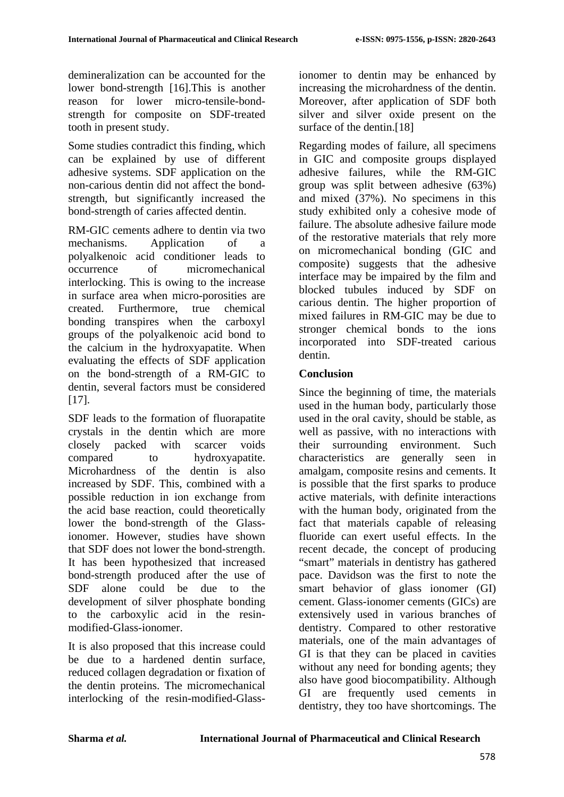demineralization can be accounted for the lower bond-strength [16].This is another reason for lower micro-tensile-bondstrength for composite on SDF-treated tooth in present study.

Some studies contradict this finding, which can be explained by use of different adhesive systems. SDF application on the non-carious dentin did not affect the bondstrength, but significantly increased the bond-strength of caries affected dentin.

RM-GIC cements adhere to dentin via two mechanisms. Application of a polyalkenoic acid conditioner leads to occurrence of micromechanical interlocking. This is owing to the increase in surface area when micro-porosities are created. Furthermore, true chemical bonding transpires when the carboxyl groups of the polyalkenoic acid bond to the calcium in the hydroxyapatite. When evaluating the effects of SDF application on the bond-strength of a RM-GIC to dentin, several factors must be considered [17].

SDF leads to the formation of fluorapatite crystals in the dentin which are more closely packed with scarcer voids compared to hydroxyapatite. Microhardness of the dentin is also increased by SDF. This, combined with a possible reduction in ion exchange from the acid base reaction, could theoretically lower the bond-strength of the Glassionomer. However, studies have shown that SDF does not lower the bond-strength. It has been hypothesized that increased bond-strength produced after the use of SDF alone could be due to the development of silver phosphate bonding to the carboxylic acid in the resinmodified-Glass-ionomer.

It is also proposed that this increase could be due to a hardened dentin surface reduced collagen degradation or fixation of the dentin proteins. The micromechanical interlocking of the resin-modified-Glassionomer to dentin may be enhanced by increasing the microhardness of the dentin. Moreover, after application of SDF both silver and silver oxide present on the surface of the dentin.<sup>[18]</sup>

Regarding modes of failure, all specimens in GIC and composite groups displayed adhesive failures, while the RM-GIC group was split between adhesive (63%) and mixed (37%). No specimens in this study exhibited only a cohesive mode of failure. The absolute adhesive failure mode of the restorative materials that rely more on micromechanical bonding (GIC and composite) suggests that the adhesive interface may be impaired by the film and blocked tubules induced by SDF on carious dentin. The higher proportion of mixed failures in RM-GIC may be due to stronger chemical bonds to the ions incorporated into SDF-treated carious dentin.

## **Conclusion**

Since the beginning of time, the materials used in the human body, particularly those used in the oral cavity, should be stable, as well as passive, with no interactions with their surrounding environment. Such characteristics are generally seen in amalgam, composite resins and cements. It is possible that the first sparks to produce active materials, with definite interactions with the human body, originated from the fact that materials capable of releasing fluoride can exert useful effects. In the recent decade, the concept of producing "smart" materials in dentistry has gathered pace. Davidson was the first to note the smart behavior of glass ionomer (GI) cement. Glass-ionomer cements (GICs) are extensively used in various branches of dentistry. Compared to other restorative materials, one of the main advantages of GI is that they can be placed in cavities without any need for bonding agents; they also have good biocompatibility. Although GI are frequently used cements in dentistry, they too have shortcomings. The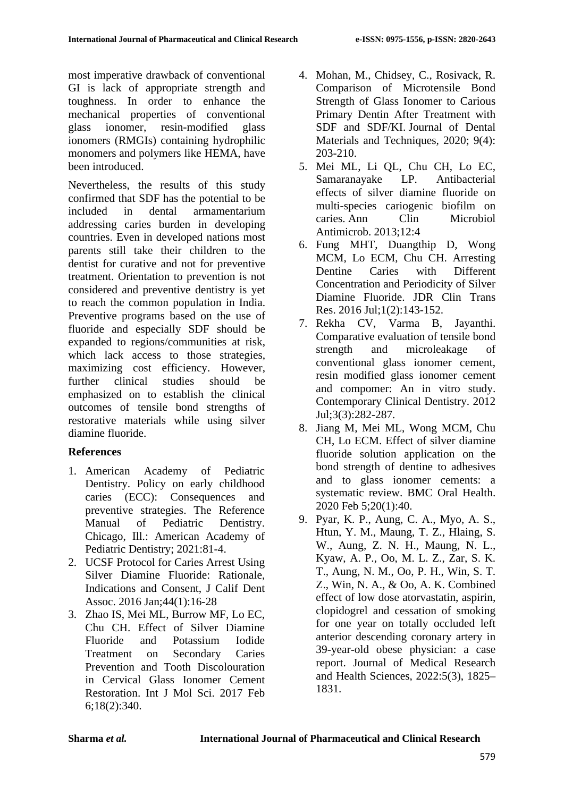most imperative drawback of conventional GI is lack of appropriate strength and toughness. In order to enhance the mechanical properties of conventional glass ionomer, resin-modified glass ionomers (RMGIs) containing hydrophilic monomers and polymers like HEMA, have been introduced.

Nevertheless, the results of this study confirmed that SDF has the potential to be included in dental armamentarium addressing caries burden in developing countries. Even in developed nations most parents still take their children to the dentist for curative and not for preventive treatment. Orientation to prevention is not considered and preventive dentistry is yet to reach the common population in India. Preventive programs based on the use of fluoride and especially SDF should be expanded to regions/communities at risk, which lack access to those strategies, maximizing cost efficiency. However, further clinical studies should be emphasized on to establish the clinical outcomes of tensile bond strengths of restorative materials while using silver diamine fluoride.

## **References**

- 1. American Academy of Pediatric Dentistry. Policy on early childhood caries (ECC): Consequences and preventive strategies. The Reference Manual of Pediatric Dentistry. Chicago, Ill.: American Academy of Pediatric Dentistry; 2021:81-4.
- 2. UCSF Protocol for Caries Arrest Using Silver Diamine Fluoride: Rationale, Indications and Consent, J Calif Dent Assoc. 2016 Jan;44(1):16-28
- 3. Zhao IS, Mei ML, Burrow MF, Lo EC, Chu CH. Effect of Silver Diamine Fluoride and Potassium Iodide Treatment on Secondary Caries Prevention and Tooth Discolouration in Cervical Glass Ionomer Cement Restoration. Int J Mol Sci. 2017 Feb 6;18(2):340.
- 4. Mohan, M., Chidsey, C., Rosivack, R. Comparison of Microtensile Bond Strength of Glass Ionomer to Carious Primary Dentin After Treatment with SDF and SDF/KI. Journal of Dental Materials and Techniques*,* 2020; 9(4): 203-210.
- 5. Mei ML, Li QL, Chu CH, Lo EC, Samaranayake LP. Antibacterial effects of silver diamine fluoride on multi-species cariogenic biofilm on caries. Ann Clin Microbiol Antimicrob. 2013;12:4
- 6. Fung MHT, Duangthip D, Wong MCM, Lo ECM, Chu CH. Arresting Dentine Caries with Different Concentration and Periodicity of Silver Diamine Fluoride. JDR Clin Trans Res. 2016 Jul;1(2):143-152.
- 7. Rekha CV, Varma B, Jayanthi. Comparative evaluation of tensile bond strength and microleakage of conventional glass ionomer cement, resin modified glass ionomer cement and compomer: An in vitro study. Contemporary Clinical Dentistry. 2012 Jul;3(3):282-287.
- 8. Jiang M, Mei ML, Wong MCM, Chu CH, Lo ECM. Effect of silver diamine fluoride solution application on the bond strength of dentine to adhesives and to glass ionomer cements: a systematic review. BMC Oral Health. 2020 Feb 5;20(1):40.
- 9. Pyar, K. P., Aung, C. A., Myo, A. S., Htun, Y. M., Maung, T. Z., Hlaing, S. W., Aung, Z. N. H., Maung, N. L., Kyaw, A. P., Oo, M. L. Z., Zar, S. K. T., Aung, N. M., Oo, P. H., Win, S. T. Z., Win, N. A., & Oo, A. K. Combined effect of low dose atorvastatin, aspirin, clopidogrel and cessation of smoking for one year on totally occluded left anterior descending coronary artery in 39-year-old obese physician: a case report. Journal of Medical Research and Health Sciences, 2022:5(3), 1825– 1831.